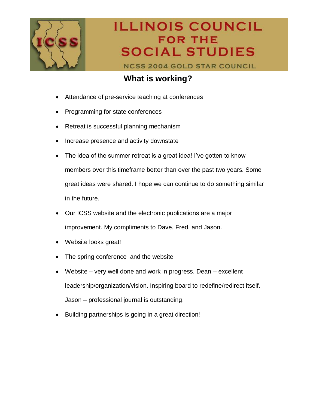

**NCSS 2004 GOLD STAR COUNCIL** 

### **What is working?**

- Attendance of pre-service teaching at conferences
- Programming for state conferences
- Retreat is successful planning mechanism
- Increase presence and activity downstate
- The idea of the summer retreat is a great idea! I've gotten to know members over this timeframe better than over the past two years. Some great ideas were shared. I hope we can continue to do something similar in the future.
- Our ICSS website and the electronic publications are a major improvement. My compliments to Dave, Fred, and Jason.
- Website looks great!
- The spring conference and the website
- Website very well done and work in progress. Dean excellent leadership/organization/vision. Inspiring board to redefine/redirect itself. Jason – professional journal is outstanding.
- Building partnerships is going in a great direction!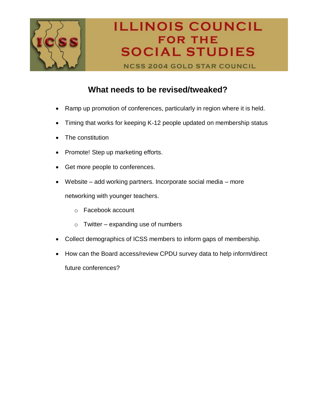

**NCSS 2004 GOLD STAR COUNCIL** 

### **What needs to be revised/tweaked?**

- Ramp up promotion of conferences, particularly in region where it is held.
- Timing that works for keeping K-12 people updated on membership status
- The constitution
- Promote! Step up marketing efforts.
- Get more people to conferences.
- Website add working partners. Incorporate social media more networking with younger teachers.
	- o Facebook account
	- $\circ$  Twitter expanding use of numbers
- Collect demographics of ICSS members to inform gaps of membership.
- How can the Board access/review CPDU survey data to help inform/direct future conferences?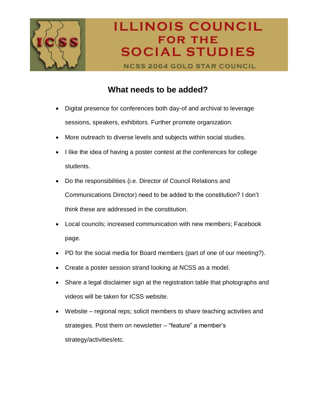

**NCSS 2004 GOLD STAR COUNCIL** 

#### **What needs to be added?**

- Digital presence for conferences both day-of and archival to leverage sessions, speakers, exhibitors. Further promote organization.
- More outreach to diverse levels and subjects within social studies.
- I like the idea of having a poster contest at the conferences for college students.
- Do the responsibilities (i.e. Director of Council Relations and Communications Director) need to be added to the constitution? I don't think these are addressed in the constitution.
- Local councils; increased communication with new members; Facebook page.
- PD for the social media for Board members (part of one of our meeting?).
- Create a poster session strand looking at NCSS as a model.
- Share a legal disclaimer sign at the registration table that photographs and videos will be taken for ICSS website.
- Website regional reps; solicit members to share teaching activities and strategies. Post them on newsletter – "feature" a member's strategy/activities/etc.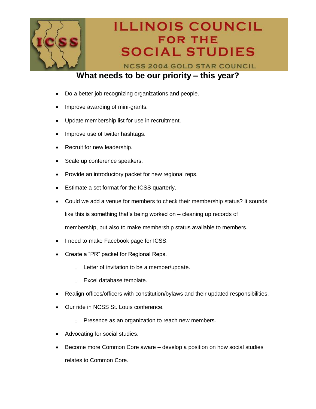

**NCSS 2004 GOLD STAR COUNCIL** 

#### **What needs to be our priority – this year?**

- Do a better job recognizing organizations and people.
- Improve awarding of mini-grants.
- Update membership list for use in recruitment.
- Improve use of twitter hashtags.
- Recruit for new leadership.
- Scale up conference speakers.
- Provide an introductory packet for new regional reps.
- Estimate a set format for the ICSS quarterly.
- Could we add a venue for members to check their membership status? It sounds

like this is something that's being worked on – cleaning up records of

membership, but also to make membership status available to members.

- I need to make Facebook page for ICSS.
- Create a "PR" packet for Regional Reps.
	- o Letter of invitation to be a member/update.
	- o Excel database template.
- Realign offices/officers with constitution/bylaws and their updated responsibilities.
- Our ride in NCSS St. Louis conference.
	- o Presence as an organization to reach new members.
- Advocating for social studies.
- Become more Common Core aware develop a position on how social studies relates to Common Core.